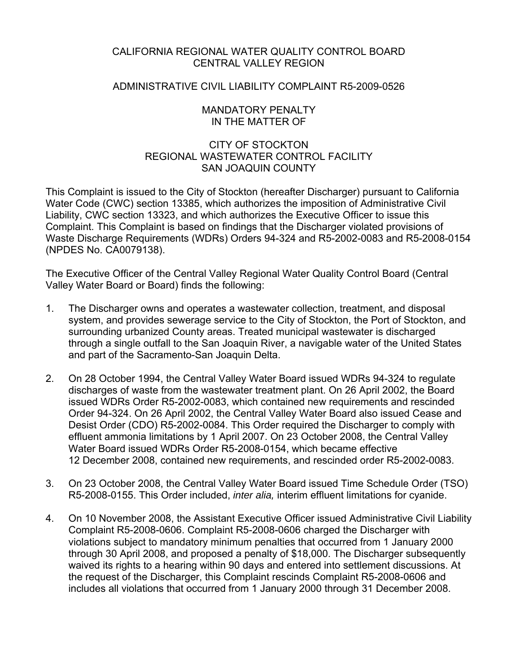## CALIFORNIA REGIONAL WATER QUALITY CONTROL BOARD CENTRAL VALLEY REGION

### ADMINISTRATIVE CIVIL LIABILITY COMPLAINT R5-2009-0526

### MANDATORY PENALTY IN THE MATTER OF

## CITY OF STOCKTON REGIONAL WASTEWATER CONTROL FACILITY SAN JOAQUIN COUNTY

This Complaint is issued to the City of Stockton (hereafter Discharger) pursuant to California Water Code (CWC) section 13385, which authorizes the imposition of Administrative Civil Liability, CWC section 13323, and which authorizes the Executive Officer to issue this Complaint. This Complaint is based on findings that the Discharger violated provisions of Waste Discharge Requirements (WDRs) Orders 94-324 and R5-2002-0083 and R5-2008-0154 (NPDES No. CA0079138).

The Executive Officer of the Central Valley Regional Water Quality Control Board (Central Valley Water Board or Board) finds the following:

- 1. The Discharger owns and operates a wastewater collection, treatment, and disposal system, and provides sewerage service to the City of Stockton, the Port of Stockton, and surrounding urbanized County areas. Treated municipal wastewater is discharged through a single outfall to the San Joaquin River, a navigable water of the United States and part of the Sacramento-San Joaquin Delta.
- 2. On 28 October 1994, the Central Valley Water Board issued WDRs 94-324 to regulate discharges of waste from the wastewater treatment plant. On 26 April 2002, the Board issued WDRs Order R5-2002-0083, which contained new requirements and rescinded Order 94-324. On 26 April 2002, the Central Valley Water Board also issued Cease and Desist Order (CDO) R5-2002-0084. This Order required the Discharger to comply with effluent ammonia limitations by 1 April 2007. On 23 October 2008, the Central Valley Water Board issued WDRs Order R5-2008-0154, which became effective 12 December 2008, contained new requirements, and rescinded order R5-2002-0083.
- 3. On 23 October 2008, the Central Valley Water Board issued Time Schedule Order (TSO) R5-2008-0155. This Order included, *inter alia,* interim effluent limitations for cyanide.
- 4. On 10 November 2008, the Assistant Executive Officer issued Administrative Civil Liability Complaint R5-2008-0606. Complaint R5-2008-0606 charged the Discharger with violations subject to mandatory minimum penalties that occurred from 1 January 2000 through 30 April 2008, and proposed a penalty of \$18,000. The Discharger subsequently waived its rights to a hearing within 90 days and entered into settlement discussions. At the request of the Discharger, this Complaint rescinds Complaint R5-2008-0606 and includes all violations that occurred from 1 January 2000 through 31 December 2008.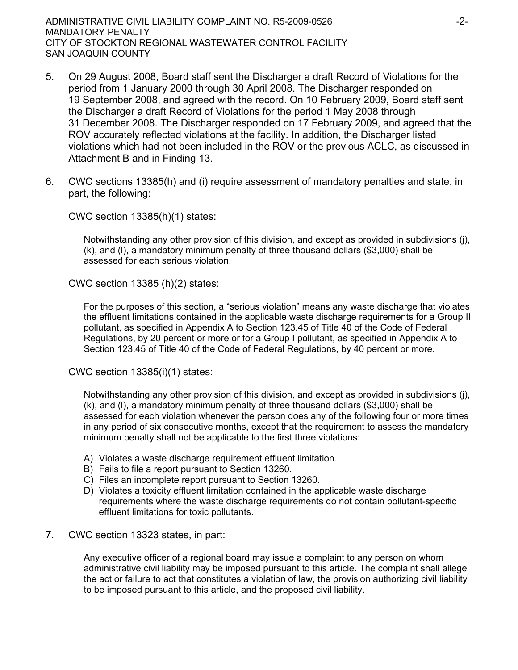ADMINISTRATIVE CIVIL LIABILITY COMPLAINT NO. R5-2009-0526 -2- MANDATORY PENALTY CITY OF STOCKTON REGIONAL WASTEWATER CONTROL FACILITY SAN JOAQUIN COUNTY

- 5. On 29 August 2008, Board staff sent the Discharger a draft Record of Violations for the period from 1 January 2000 through 30 April 2008. The Discharger responded on 19 September 2008, and agreed with the record. On 10 February 2009, Board staff sent the Discharger a draft Record of Violations for the period 1 May 2008 through 31 December 2008. The Discharger responded on 17 February 2009, and agreed that the ROV accurately reflected violations at the facility. In addition, the Discharger listed violations which had not been included in the ROV or the previous ACLC, as discussed in Attachment B and in Finding 13.
- 6. CWC sections 13385(h) and (i) require assessment of mandatory penalties and state, in part, the following:

CWC section 13385(h)(1) states:

Notwithstanding any other provision of this division, and except as provided in subdivisions (j), (k), and (l), a mandatory minimum penalty of three thousand dollars (\$3,000) shall be assessed for each serious violation.

CWC section 13385 (h)(2) states:

For the purposes of this section, a "serious violation" means any waste discharge that violates the effluent limitations contained in the applicable waste discharge requirements for a Group II pollutant, as specified in Appendix A to Section 123.45 of Title 40 of the Code of Federal Regulations, by 20 percent or more or for a Group I pollutant, as specified in Appendix A to Section 123.45 of Title 40 of the Code of Federal Regulations, by 40 percent or more.

CWC section 13385(i)(1) states:

Notwithstanding any other provision of this division, and except as provided in subdivisions (j), (k), and (l), a mandatory minimum penalty of three thousand dollars (\$3,000) shall be assessed for each violation whenever the person does any of the following four or more times in any period of six consecutive months, except that the requirement to assess the mandatory minimum penalty shall not be applicable to the first three violations:

- A) Violates a waste discharge requirement effluent limitation.
- B) Fails to file a report pursuant to Section 13260.
- C) Files an incomplete report pursuant to Section 13260.
- D) Violates a toxicity effluent limitation contained in the applicable waste discharge requirements where the waste discharge requirements do not contain pollutant-specific effluent limitations for toxic pollutants.
- 7. CWC section 13323 states, in part:

Any executive officer of a regional board may issue a complaint to any person on whom administrative civil liability may be imposed pursuant to this article. The complaint shall allege the act or failure to act that constitutes a violation of law, the provision authorizing civil liability to be imposed pursuant to this article, and the proposed civil liability.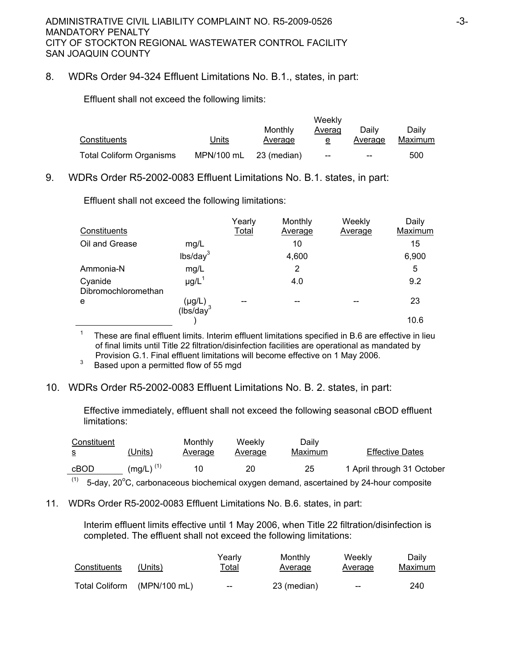### 8. WDRs Order 94-324 Effluent Limitations No. B.1., states, in part:

Effluent shall not exceed the following limits:

|                                 |              | Weekly      |        |         |         |  |
|---------------------------------|--------------|-------------|--------|---------|---------|--|
|                                 |              | Monthly     | Averag | Dailv   | Dailv   |  |
| Constituents                    | <b>Jnits</b> | Average     |        | Average | Maximum |  |
| <b>Total Coliform Organisms</b> | MPN/100 mL   | 23 (median) | $-$    | $-$     | 500     |  |

9. WDRs Order R5-2002-0083 Effluent Limitations No. B.1. states, in part:

|                                |                                        | Yearly       | Monthly | Weekly  | Daily   |
|--------------------------------|----------------------------------------|--------------|---------|---------|---------|
| Constituents                   |                                        | <b>Total</b> | Average | Average | Maximum |
| Oil and Grease                 | mg/L                                   |              | 10      |         | 15      |
|                                | lbs/day <sup>3</sup>                   |              | 4,600   |         | 6,900   |
| Ammonia-N                      | mg/L                                   |              | 2       |         | 5       |
| Cyanide<br>Dibromochloromethan | $\mu$ g/L <sup>1</sup>                 |              | 4.0     |         | 9.2     |
| e                              | $(\mu g/L)$<br>(lbs/day <sup>3</sup> ) |              |         | --      | 23      |
|                                |                                        |              |         |         | 10.6    |

Effluent shall not exceed the following limitations:

1 These are final effluent limits. Interim effluent limitations specified in B.6 are effective in lieu of final limits until Title 22 filtration/disinfection facilities are operational as mandated by Provision G.1. Final effluent limitations will become effective on 1 May 2006.<br>Besed upon a permitted flow of 55 mod

Based upon a permitted flow of 55 mgd

#### 10. WDRs Order R5-2002-0083 Effluent Limitations No. B. 2. states, in part:

Effective immediately, effluent shall not exceed the following seasonal cBOD effluent limitations:

| Constituent<br>-S  | (Units)        | Monthly<br>Average | Weeklv<br>Average | Daily<br>Maximum | <b>Effective Dates</b>     |
|--------------------|----------------|--------------------|-------------------|------------------|----------------------------|
| cBOD<br>$\sqrt{4}$ | $(mq/L)^{(1)}$ | 10                 | 20                | 25               | 1 April through 31 October |

 $(1)$  5-day, 20°C, carbonaceous biochemical oxygen demand, ascertained by 24-hour composite

11. WDRs Order R5-2002-0083 Effluent Limitations No. B.6. states, in part:

Interim effluent limits effective until 1 May 2006, when Title 22 filtration/disinfection is completed. The effluent shall not exceed the following limitations:

| Constituents          | (Units)      | Yearlv<br>T <u>otal</u>                        | Monthly<br>Average | Weekly<br>Average | Daily<br>Maximum |
|-----------------------|--------------|------------------------------------------------|--------------------|-------------------|------------------|
| <b>Total Coliform</b> | (MPN/100 mL) | $\hspace{0.1mm}-\hspace{0.1mm}-\hspace{0.1mm}$ | 23 (median)        | $-$               | 240              |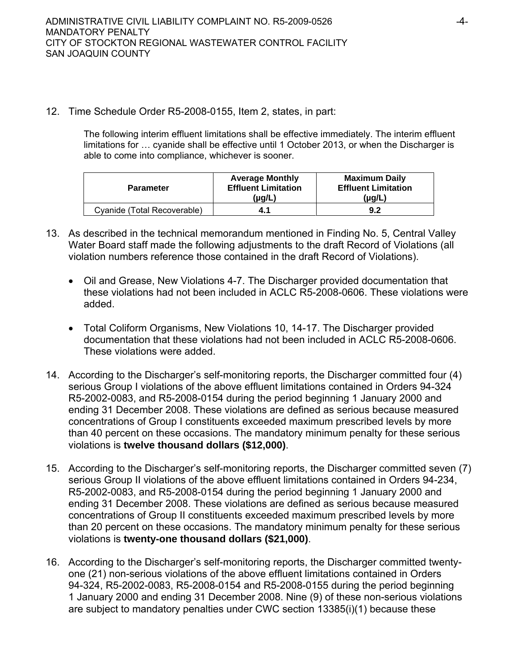12. Time Schedule Order R5-2008-0155, Item 2, states, in part:

The following interim effluent limitations shall be effective immediately. The interim effluent limitations for … cyanide shall be effective until 1 October 2013, or when the Discharger is able to come into compliance, whichever is sooner.

| <b>Parameter</b>            | <b>Average Monthly</b><br><b>Effluent Limitation</b><br>(µg/L) | <b>Maximum Daily</b><br><b>Effluent Limitation</b><br>$(\mu g/L)$ |
|-----------------------------|----------------------------------------------------------------|-------------------------------------------------------------------|
| Cvanide (Total Recoverable) | 4.1                                                            | 9.2                                                               |

- 13. As described in the technical memorandum mentioned in Finding No. 5, Central Valley Water Board staff made the following adjustments to the draft Record of Violations (all violation numbers reference those contained in the draft Record of Violations).
	- Oil and Grease, New Violations 4-7. The Discharger provided documentation that these violations had not been included in ACLC R5-2008-0606. These violations were added.
	- Total Coliform Organisms, New Violations 10, 14-17. The Discharger provided documentation that these violations had not been included in ACLC R5-2008-0606. These violations were added.
- 14. According to the Discharger's self-monitoring reports, the Discharger committed four (4) serious Group I violations of the above effluent limitations contained in Orders 94-324 R5-2002-0083, and R5-2008-0154 during the period beginning 1 January 2000 and ending 31 December 2008. These violations are defined as serious because measured concentrations of Group I constituents exceeded maximum prescribed levels by more than 40 percent on these occasions. The mandatory minimum penalty for these serious violations is **twelve thousand dollars (\$12,000)**.
- 15. According to the Discharger's self-monitoring reports, the Discharger committed seven (7) serious Group II violations of the above effluent limitations contained in Orders 94-234, R5-2002-0083, and R5-2008-0154 during the period beginning 1 January 2000 and ending 31 December 2008. These violations are defined as serious because measured concentrations of Group II constituents exceeded maximum prescribed levels by more than 20 percent on these occasions. The mandatory minimum penalty for these serious violations is **twenty-one thousand dollars (\$21,000)**.
- 16. According to the Discharger's self-monitoring reports, the Discharger committed twentyone (21) non-serious violations of the above effluent limitations contained in Orders 94-324, R5-2002-0083, R5-2008-0154 and R5-2008-0155 during the period beginning 1 January 2000 and ending 31 December 2008. Nine (9) of these non-serious violations are subject to mandatory penalties under CWC section 13385(i)(1) because these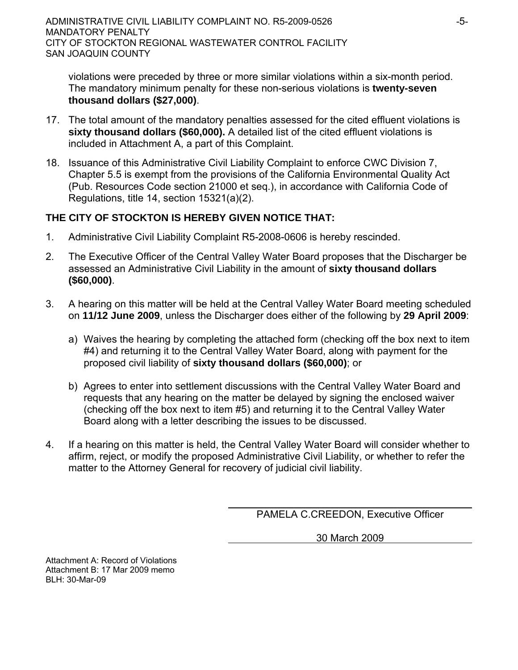violations were preceded by three or more similar violations within a six-month period. The mandatory minimum penalty for these non-serious violations is **twenty-seven thousand dollars (\$27,000)**.

- 17. The total amount of the mandatory penalties assessed for the cited effluent violations is **sixty thousand dollars (\$60,000).** A detailed list of the cited effluent violations is included in Attachment A, a part of this Complaint.
- 18. Issuance of this Administrative Civil Liability Complaint to enforce CWC Division 7, Chapter 5.5 is exempt from the provisions of the California Environmental Quality Act (Pub. Resources Code section 21000 et seq.), in accordance with California Code of Regulations, title 14, section 15321(a)(2).

# **THE CITY OF STOCKTON IS HEREBY GIVEN NOTICE THAT:**

- 1. Administrative Civil Liability Complaint R5-2008-0606 is hereby rescinded.
- 2. The Executive Officer of the Central Valley Water Board proposes that the Discharger be assessed an Administrative Civil Liability in the amount of **sixty thousand dollars (\$60,000)**.
- 3. A hearing on this matter will be held at the Central Valley Water Board meeting scheduled on **11/12 June 2009**, unless the Discharger does either of the following by **29 April 2009**:
	- a) Waives the hearing by completing the attached form (checking off the box next to item #4) and returning it to the Central Valley Water Board, along with payment for the proposed civil liability of **sixty thousand dollars (\$60,000)**; or
	- b) Agrees to enter into settlement discussions with the Central Valley Water Board and requests that any hearing on the matter be delayed by signing the enclosed waiver (checking off the box next to item #5) and returning it to the Central Valley Water Board along with a letter describing the issues to be discussed.
- 4. If a hearing on this matter is held, the Central Valley Water Board will consider whether to affirm, reject, or modify the proposed Administrative Civil Liability, or whether to refer the matter to the Attorney General for recovery of judicial civil liability.

PAMELA C.CREEDON, Executive Officer

30 March 2009

Attachment A: Record of Violations Attachment B: 17 Mar 2009 memo  $BI H: 30-Mar-09$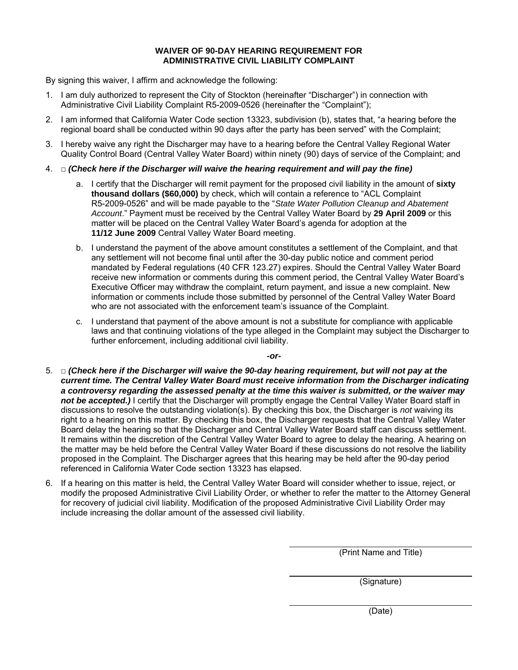#### **WAIVER OF 90-DAY HEARING REQUIREMENT FOR ADMINISTRATIVE CIVIL LIABILITY COMPLAINT**

By signing this waiver, I affirm and acknowledge the following:

- 1. I am duly authorized to represent the City of Stockton (hereinafter "Discharger") in connection with Administrative Civil Liability Complaint R5-2009-0526 (hereinafter the "Complaint");
- 2. I am informed that California Water Code section 13323, subdivision (b), states that, "a hearing before the regional board shall be conducted within 90 days after the party has been served" with the Complaint;
- 3. I hereby waive any right the Discharger may have to a hearing before the Central Valley Regional Water Quality Control Board (Central Valley Water Board) within ninety (90) days of service of the Complaint; and
- 4. □ *(Check here if the Discharger will waive the hearing requirement and will pay the fine)* 
	- a. I certify that the Discharger will remit payment for the proposed civil liability in the amount of **sixty thousand dollars (\$60,000)** by check, which will contain a reference to "ACL Complaint R5-2009-0526" and will be made payable to the "*State Water Pollution Cleanup and Abatement Account*." Payment must be received by the Central Valley Water Board by **29 April 2009** or this matter will be placed on the Central Valley Water Board's agenda for adoption at the **11/12 June 2009** Central Valley Water Board meeting.
	- b. I understand the payment of the above amount constitutes a settlement of the Complaint, and that any settlement will not become final until after the 30-day public notice and comment period mandated by Federal regulations (40 CFR 123.27) expires. Should the Central Valley Water Board receive new information or comments during this comment period, the Central Valley Water Board's Executive Officer may withdraw the complaint, return payment, and issue a new complaint. New information or comments include those submitted by personnel of the Central Valley Water Board who are not associated with the enforcement team's issuance of the Complaint.
	- c. I understand that payment of the above amount is not a substitute for compliance with applicable laws and that continuing violations of the type alleged in the Complaint may subject the Discharger to further enforcement, including additional civil liability.

*-or-*

- 5. □ *(Check here if the Discharger will waive the 90-day hearing requirement, but will not pay at the current time. The Central Valley Water Board must receive information from the Discharger indicating a controversy regarding the assessed penalty at the time this waiver is submitted, or the waiver may*  not be accepted.) I certify that the Discharger will promptly engage the Central Valley Water Board staff in discussions to resolve the outstanding violation(s). By checking this box, the Discharger is *not* waiving its right to a hearing on this matter. By checking this box, the Discharger requests that the Central Valley Water Board delay the hearing so that the Discharger and Central Valley Water Board staff can discuss settlement. It remains within the discretion of the Central Valley Water Board to agree to delay the hearing. A hearing on the matter may be held before the Central Valley Water Board if these discussions do not resolve the liability proposed in the Complaint. The Discharger agrees that this hearing may be held after the 90-day period referenced in California Water Code section 13323 has elapsed.
- 6. If a hearing on this matter is held, the Central Valley Water Board will consider whether to issue, reject, or modify the proposed Administrative Civil Liability Order, or whether to refer the matter to the Attorney General for recovery of judicial civil liability. Modification of the proposed Administrative Civil Liability Order may include increasing the dollar amount of the assessed civil liability.

(Print Name and Title)

(Signature)

(Date)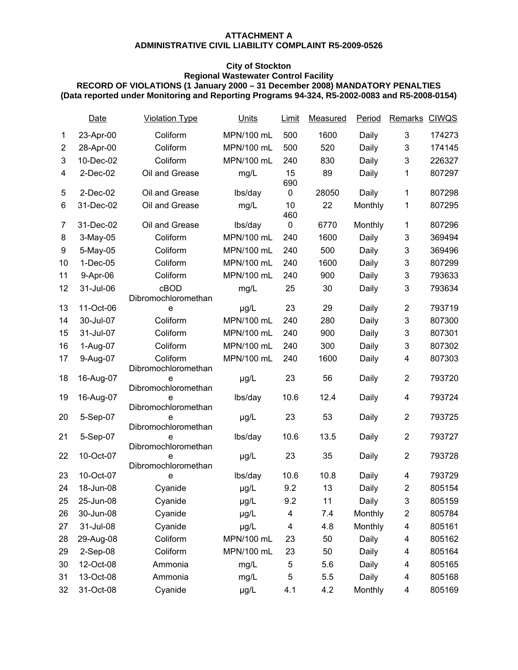#### **ATTACHMENT A ADMINISTRATIVE CIVIL LIABILITY COMPLAINT R5-2009-0526**

### **City of Stockton**

#### **Regional Wastewater Control Facility**

#### **RECORD OF VIOLATIONS (1 January 2000 – 31 December 2008) MANDATORY PENALTIES (Data reported under Monitoring and Reporting Programs 94-324, R5-2002-0083 and R5-2008-0154)**

|                | Date        | <b>Violation Type</b>           | Units      | Limit     | Measured | Period  | Remarks CIWQS             |        |
|----------------|-------------|---------------------------------|------------|-----------|----------|---------|---------------------------|--------|
| 1              | 23-Apr-00   | Coliform                        | MPN/100 mL | 500       | 1600     | Daily   | 3                         | 174273 |
| $\overline{c}$ | 28-Apr-00   | Coliform                        | MPN/100 mL | 500       | 520      | Daily   | $\ensuremath{\mathsf{3}}$ | 174145 |
| 3              | 10-Dec-02   | Coliform                        | MPN/100 mL | 240       | 830      | Daily   | 3                         | 226327 |
| 4              | $2$ -Dec-02 | Oil and Grease                  | mg/L       | 15<br>690 | 89       | Daily   | 1                         | 807297 |
| 5              | $2$ -Dec-02 | Oil and Grease                  | lbs/day    | 0         | 28050    | Daily   | 1                         | 807298 |
| 6              | 31-Dec-02   | Oil and Grease                  | mg/L       | 10<br>460 | 22       | Monthly | 1                         | 807295 |
| 7              | 31-Dec-02   | Oil and Grease                  | lbs/day    | 0         | 6770     | Monthly | 1                         | 807296 |
| 8              | 3-May-05    | Coliform                        | MPN/100 mL | 240       | 1600     | Daily   | $\ensuremath{\mathsf{3}}$ | 369494 |
| 9              | 5-May-05    | Coliform                        | MPN/100 mL | 240       | 500      | Daily   | 3                         | 369496 |
| 10             | $1-Dec-05$  | Coliform                        | MPN/100 mL | 240       | 1600     | Daily   | $\ensuremath{\mathsf{3}}$ | 807299 |
| 11             | 9-Apr-06    | Coliform                        | MPN/100 mL | 240       | 900      | Daily   | 3                         | 793633 |
| 12             | 31-Jul-06   | cBOD<br>Dibromochloromethan     | mg/L       | 25        | 30       | Daily   | 3                         | 793634 |
| 13             | 11-Oct-06   | e                               | µg/L       | 23        | 29       | Daily   | $\overline{\mathbf{c}}$   | 793719 |
| 14             | 30-Jul-07   | Coliform                        | MPN/100 mL | 240       | 280      | Daily   | $\mathsf 3$               | 807300 |
| 15             | 31-Jul-07   | Coliform                        | MPN/100 mL | 240       | 900      | Daily   | $\ensuremath{\mathsf{3}}$ | 807301 |
| 16             | 1-Aug-07    | Coliform                        | MPN/100 mL | 240       | 300      | Daily   | $\ensuremath{\mathsf{3}}$ | 807302 |
| 17             | 9-Aug-07    | Coliform<br>Dibromochloromethan | MPN/100 mL | 240       | 1600     | Daily   | 4                         | 807303 |
| 18             | 16-Aug-07   | е<br>Dibromochloromethan        | µg/L       | 23        | 56       | Daily   | $\boldsymbol{2}$          | 793720 |
| 19             | 16-Aug-07   | е<br>Dibromochloromethan        | lbs/day    | 10.6      | 12.4     | Daily   | 4                         | 793724 |
| 20             | 5-Sep-07    | е<br>Dibromochloromethan        | µg/L       | 23        | 53       | Daily   | $\overline{\mathbf{c}}$   | 793725 |
| 21             | 5-Sep-07    | e<br>Dibromochloromethan        | lbs/day    | 10.6      | 13.5     | Daily   | $\overline{\mathbf{c}}$   | 793727 |
| 22             | 10-Oct-07   | e<br>Dibromochloromethan        | µg/L       | 23        | 35       | Daily   | $\boldsymbol{2}$          | 793728 |
| 23             | 10-Oct-07   | e                               | lbs/day    | 10.6      | 10.8     | Daily   | 4                         | 793729 |
| 24             | 18-Jun-08   | Cyanide                         | µg/L       | 9.2       | 13       | Daily   | $\overline{2}$            | 805154 |
| 25             | 25-Jun-08   | Cyanide                         | µg/L       | 9.2       | 11       | Daily   | 3                         | 805159 |
| 26             | 30-Jun-08   | Cyanide                         | µg/L       | 4         | 7.4      | Monthly | $\overline{\mathbf{c}}$   | 805784 |
| 27             | 31-Jul-08   | Cyanide                         | µg/L       | 4         | 4.8      | Monthly | 4                         | 805161 |
| 28             | 29-Aug-08   | Coliform                        | MPN/100 mL | 23        | 50       | Daily   | 4                         | 805162 |
| 29             | 2-Sep-08    | Coliform                        | MPN/100 mL | 23        | 50       | Daily   | 4                         | 805164 |
| 30             | 12-Oct-08   | Ammonia                         | mg/L       | 5         | 5.6      | Daily   | 4                         | 805165 |
| 31             | 13-Oct-08   | Ammonia                         | mg/L       | 5         | 5.5      | Daily   | 4                         | 805168 |
| 32             | 31-Oct-08   | Cyanide                         | µg/L       | 4.1       | 4.2      | Monthly | 4                         | 805169 |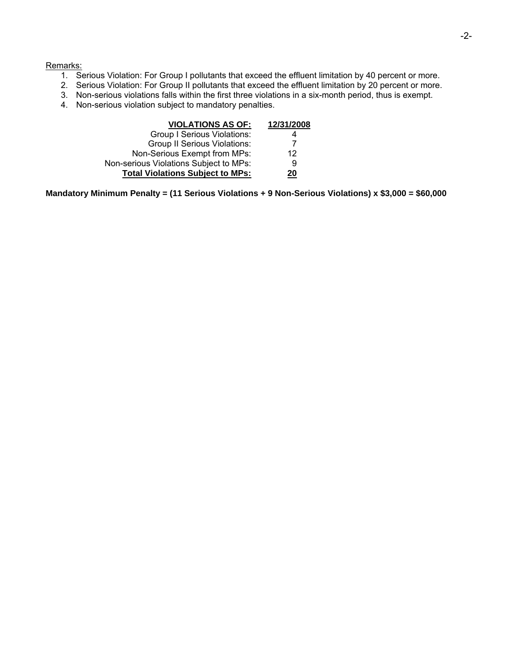#### Remarks:

- 1. Serious Violation: For Group I pollutants that exceed the effluent limitation by 40 percent or more.
- 2. Serious Violation: For Group II pollutants that exceed the effluent limitation by 20 percent or more.
- 3. Non-serious violations falls within the first three violations in a six-month period, thus is exempt.
- 4. Non-serious violation subject to mandatory penalties.

| <b>VIOLATIONS AS OF:</b>                | 12/31/2008 |
|-----------------------------------------|------------|
| <b>Group I Serious Violations:</b>      | 4          |
| <b>Group II Serious Violations:</b>     | 7          |
| Non-Serious Exempt from MPs:            | 12         |
| Non-serious Violations Subject to MPs:  | 9          |
| <b>Total Violations Subject to MPs:</b> | 20         |

**Mandatory Minimum Penalty = (11 Serious Violations + 9 Non-Serious Violations) x \$3,000 = \$60,000**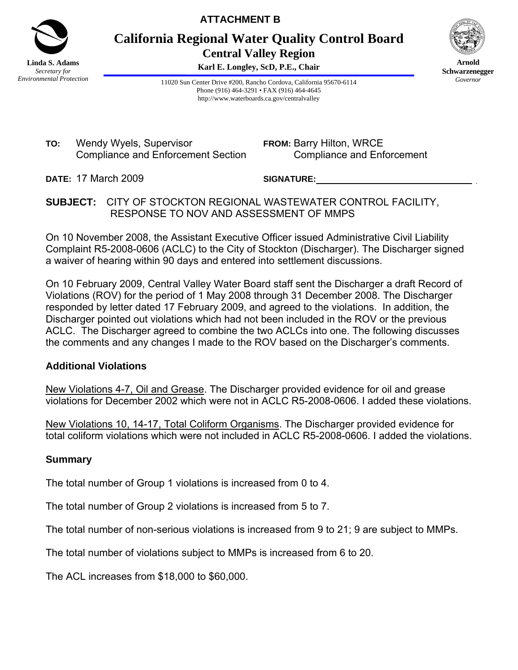

**ATTACHMENT B** 

**California Regional Water Quality Control Board Central Valley Region** 

**Karl E. Longley, ScD, P.E., Chair**



**Arnold Schwarzenegger** *Governor* 

11020 Sun Center Drive #200, Rancho Cordova, California 95670-6114 Phone (916) 464-3291 • FAX (916) 464-4645 http://www.waterboards.ca.gov/centralvalley

**TO:** Wendy Wyels, Supervisor Compliance and Enforcement Section **FROM:** Barry Hilton, WRCE Compliance and Enforcement

**DATE:** 17 March 2009

**SIGNATURE:** \_

## **SUBJECT:** CITY OF STOCKTON REGIONAL WASTEWATER CONTROL FACILITY, RESPONSE TO NOV AND ASSESSMENT OF MMPS

On 10 November 2008, the Assistant Executive Officer issued Administrative Civil Liability Complaint R5-2008-0606 (ACLC) to the City of Stockton (Discharger). The Discharger signed a waiver of hearing within 90 days and entered into settlement discussions.

On 10 February 2009, Central Valley Water Board staff sent the Discharger a draft Record of Violations (ROV) for the period of 1 May 2008 through 31 December 2008. The Discharger responded by letter dated 17 February 2009, and agreed to the violations. In addition, the Discharger pointed out violations which had not been included in the ROV or the previous ACLC. The Discharger agreed to combine the two ACLCs into one. The following discusses the comments and any changes I made to the ROV based on the Discharger's comments.

## **Additional Violations**

New Violations 4-7, Oil and Grease. The Discharger provided evidence for oil and grease violations for December 2002 which were not in ACLC R5-2008-0606. I added these violations.

New Violations 10, 14-17, Total Coliform Organisms. The Discharger provided evidence for total coliform violations which were not included in ACLC R5-2008-0606. I added the violations.

## **Summary**

The total number of Group 1 violations is increased from 0 to 4.

The total number of Group 2 violations is increased from 5 to 7.

The total number of non-serious violations is increased from 9 to 21; 9 are subject to MMPs.

The total number of violations subject to MMPs is increased from 6 to 20.

The ACL increases from \$18,000 to \$60,000.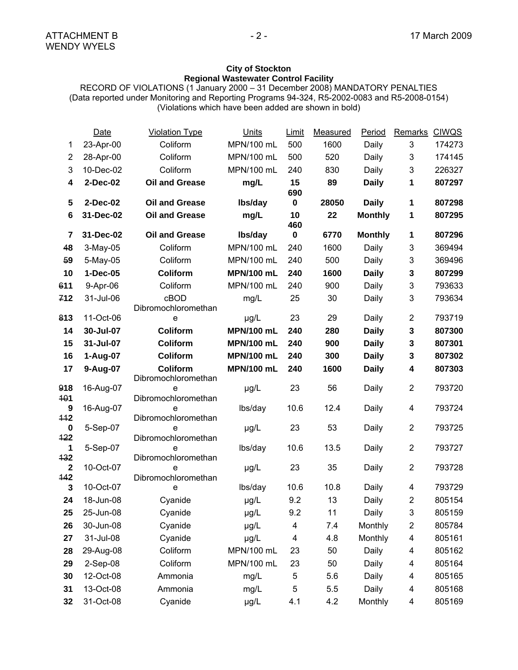#### **City of Stockton Regional Wastewater Control Facility**

RECORD OF VIOLATIONS (1 January 2000 – 31 December 2008) MANDATORY PENALTIES (Data reported under Monitoring and Reporting Programs 94-324, R5-2002-0083 and R5-2008-0154) (Violations which have been added are shown in bold)

|                         | Date      | <b>Violation Type</b>                  | <b>Units</b>      | <b>Limit</b> | Measured | Period         | Remarks        | <b>CIWQS</b> |
|-------------------------|-----------|----------------------------------------|-------------------|--------------|----------|----------------|----------------|--------------|
| 1                       | 23-Apr-00 | Coliform                               | MPN/100 mL        | 500          | 1600     | Daily          | 3              | 174273       |
| $\overline{\mathbf{c}}$ | 28-Apr-00 | Coliform                               | MPN/100 mL        | 500          | 520      | Daily          | 3              | 174145       |
| 3                       | 10-Dec-02 | Coliform                               | MPN/100 mL        | 240          | 830      | Daily          | $\mathfrak{B}$ | 226327       |
| 4                       | 2-Dec-02  | <b>Oil and Grease</b>                  | mg/L              | 15<br>690    | 89       | <b>Daily</b>   | 1              | 807297       |
| 5                       | 2-Dec-02  | <b>Oil and Grease</b>                  | Ibs/day           | $\mathbf 0$  | 28050    | <b>Daily</b>   | 1              | 807298       |
| 6                       | 31-Dec-02 | <b>Oil and Grease</b>                  | mg/L              | 10<br>460    | 22       | <b>Monthly</b> | 1              | 807295       |
| $\overline{7}$          | 31-Dec-02 | <b>Oil and Grease</b>                  | lbs/day           | $\pmb{0}$    | 6770     | <b>Monthly</b> | 1              | 807296       |
| 48                      | 3-May-05  | Coliform                               | MPN/100 mL        | 240          | 1600     | Daily          | 3              | 369494       |
| 59                      | 5-May-05  | Coliform                               | MPN/100 mL        | 240          | 500      | Daily          | 3              | 369496       |
| 10                      | 1-Dec-05  | Coliform                               | <b>MPN/100 mL</b> | 240          | 1600     | <b>Daily</b>   | $\mathbf 3$    | 807299       |
| 611                     | 9-Apr-06  | Coliform                               | MPN/100 mL        | 240          | 900      | Daily          | $\mathfrak{S}$ | 793633       |
| 712                     | 31-Jul-06 | cBOD<br>Dibromochloromethan            | mg/L              | 25           | 30       | Daily          | 3              | 793634       |
| 813                     | 11-Oct-06 | e                                      | $\mu$ g/L         | 23           | 29       | Daily          | $\overline{2}$ | 793719       |
| 14                      | 30-Jul-07 | Coliform                               | <b>MPN/100 mL</b> | 240          | 280      | <b>Daily</b>   | $\mathbf 3$    | 807300       |
| 15                      | 31-Jul-07 | Coliform                               | <b>MPN/100 mL</b> | 240          | 900      | <b>Daily</b>   | $\mathbf 3$    | 807301       |
| 16                      | 1-Aug-07  | Coliform                               | <b>MPN/100 mL</b> | 240          | 300      | <b>Daily</b>   | $\mathbf{3}$   | 807302       |
| 17                      | 9-Aug-07  | <b>Coliform</b><br>Dibromochloromethan | <b>MPN/100 mL</b> | 240          | 1600     | <b>Daily</b>   | 4              | 807303       |
| 918<br>101              | 16-Aug-07 | e<br>Dibromochloromethan               | µg/L              | 23           | 56       | Daily          | $\overline{2}$ | 793720       |
| 9                       | 16-Aug-07 | e                                      | lbs/day           | 10.6         | 12.4     | Daily          | $\overline{4}$ | 793724       |
| 442                     |           | Dibromochloromethan<br>e               |                   | 23           | 53       | Daily          | $\overline{2}$ | 793725       |
| 0<br>422                | 5-Sep-07  | Dibromochloromethan                    | µg/L              |              |          |                |                |              |
| 1                       | 5-Sep-07  | e                                      | lbs/day           | 10.6         | 13.5     | Daily          | $\overline{2}$ | 793727       |
| 432                     |           | Dibromochloromethan                    |                   |              |          |                |                |              |
| $\overline{2}$<br>142   | 10-Oct-07 | e<br>Dibromochloromethan               | $\mu$ g/L         | 23           | 35       | Daily          | $\overline{2}$ | 793728       |
| 3                       | 10-Oct-07 | e                                      | lbs/day           | 10.6         | 10.8     | Daily          | $\overline{4}$ | 793729       |
| 24                      | 18-Jun-08 | Cyanide                                | µg/L              | 9.2          | 13       | Daily          | $\overline{2}$ | 805154       |
| 25                      | 25-Jun-08 | Cyanide                                | µg/L              | 9.2          | 11       | Daily          | 3              | 805159       |
| 26                      | 30-Jun-08 | Cyanide                                | µg/L              | 4            | 7.4      | Monthly        | $\overline{c}$ | 805784       |
| 27                      | 31-Jul-08 | Cyanide                                | µg/L              | 4            | 4.8      | Monthly        | 4              | 805161       |
| 28                      | 29-Aug-08 | Coliform                               | MPN/100 mL        | 23           | 50       | Daily          | 4              | 805162       |
| 29                      | 2-Sep-08  | Coliform                               | MPN/100 mL        | 23           | 50       | Daily          | 4              | 805164       |
| 30                      | 12-Oct-08 | Ammonia                                | mg/L              | 5            | 5.6      | Daily          | 4              | 805165       |
| 31                      | 13-Oct-08 | Ammonia                                | mg/L              | 5            | 5.5      | Daily          | 4              | 805168       |
| 32                      | 31-Oct-08 | Cyanide                                | µg/L              | 4.1          | 4.2      | Monthly        | 4              | 805169       |